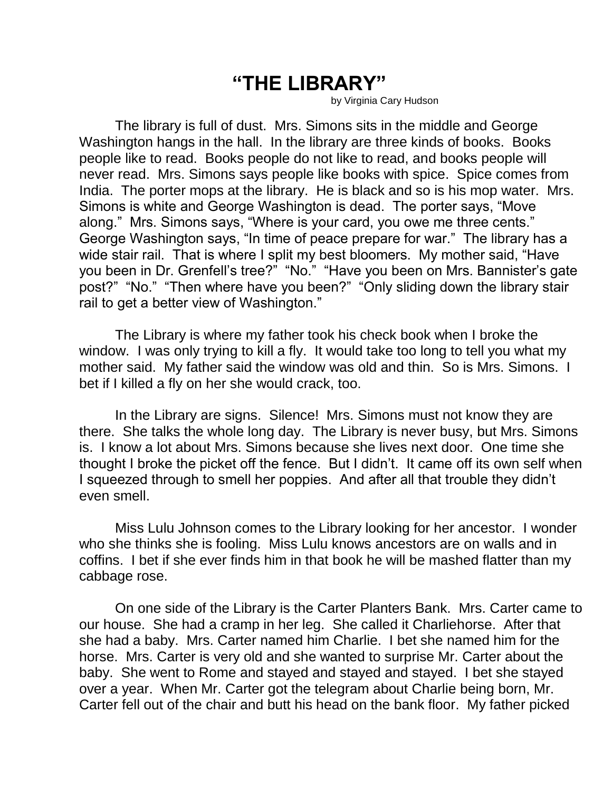## **"THE LIBRARY"**

by Virginia Cary Hudson

The library is full of dust. Mrs. Simons sits in the middle and George Washington hangs in the hall. In the library are three kinds of books. Books people like to read. Books people do not like to read, and books people will never read. Mrs. Simons says people like books with spice. Spice comes from India. The porter mops at the library. He is black and so is his mop water. Mrs. Simons is white and George Washington is dead. The porter says, "Move along." Mrs. Simons says, "Where is your card, you owe me three cents." George Washington says, "In time of peace prepare for war." The library has a wide stair rail. That is where I split my best bloomers. My mother said, "Have you been in Dr. Grenfell's tree?" "No." "Have you been on Mrs. Bannister's gate post?" "No." "Then where have you been?" "Only sliding down the library stair rail to get a better view of Washington."

The Library is where my father took his check book when I broke the window. I was only trying to kill a fly. It would take too long to tell you what my mother said. My father said the window was old and thin. So is Mrs. Simons. I bet if I killed a fly on her she would crack, too.

In the Library are signs. Silence! Mrs. Simons must not know they are there. She talks the whole long day. The Library is never busy, but Mrs. Simons is. I know a lot about Mrs. Simons because she lives next door. One time she thought I broke the picket off the fence. But I didn't. It came off its own self when I squeezed through to smell her poppies. And after all that trouble they didn't even smell.

Miss Lulu Johnson comes to the Library looking for her ancestor. I wonder who she thinks she is fooling. Miss Lulu knows ancestors are on walls and in coffins. I bet if she ever finds him in that book he will be mashed flatter than my cabbage rose.

On one side of the Library is the Carter Planters Bank. Mrs. Carter came to our house. She had a cramp in her leg. She called it Charliehorse. After that she had a baby. Mrs. Carter named him Charlie. I bet she named him for the horse. Mrs. Carter is very old and she wanted to surprise Mr. Carter about the baby. She went to Rome and stayed and stayed and stayed. I bet she stayed over a year. When Mr. Carter got the telegram about Charlie being born, Mr. Carter fell out of the chair and butt his head on the bank floor. My father picked